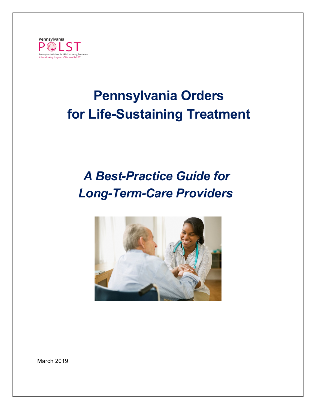

# **Pennsylvania Orders for Life-Sustaining Treatment**

## *A Best-Practice Guide for Long-Term-Care Providers*



March 2019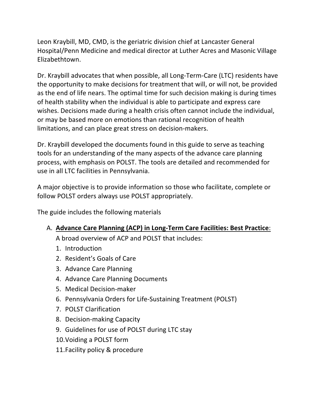Leon Kraybill, MD, CMD, is the geriatric division chief at Lancaster General Hospital/Penn Medicine and medical director at Luther Acres and Masonic Village Elizabethtown.

Dr. Kraybill advocates that when possible, all Long-Term-Care (LTC) residents have the opportunity to make decisions for treatment that will, or will not, be provided as the end of life nears. The optimal time for such decision making is during times of health stability when the individual is able to participate and express care wishes. Decisions made during a health crisis often cannot include the individual, or may be based more on emotions than rational recognition of health limitations, and can place great stress on decision-makers.

Dr. Kraybill developed the documents found in this guide to serve as teaching tools for an understanding of the many aspects of the advance care planning process, with emphasis on POLST. The tools are detailed and recommended for use in all LTC facilities in Pennsylvania.

A major objective is to provide information so those who facilitate, complete or follow POLST orders always use POLST appropriately.

The guide includes the following materials

## A. **Advance Care Planning (ACP) in Long-Term Care Facilities: Best Practice**:

A broad overview of ACP and POLST that includes:

- 1. Introduction
- 2. Resident's Goals of Care
- 3. Advance Care Planning
- 4. Advance Care Planning Documents
- 5. Medical Decision-maker
- 6. Pennsylvania Orders for Life-Sustaining Treatment (POLST)
- 7. POLST Clarification
- 8. Decision-making Capacity
- 9. Guidelines for use of POLST during LTC stay
- 10.Voiding a POLST form
- 11.Facility policy & procedure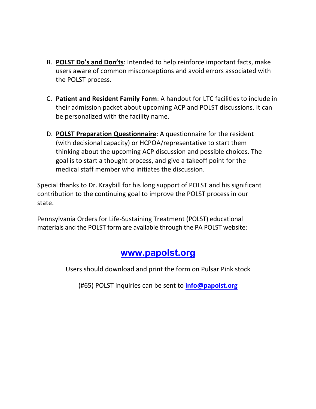- B. **POLST Do's and Don'ts**: Intended to help reinforce important facts, make users aware of common misconceptions and avoid errors associated with the POLST process.
- C. **Patient and Resident Family Form**: A handout for LTC facilities to include in their admission packet about upcoming ACP and POLST discussions. It can be personalized with the facility name.
- D. **POLST Preparation Questionnaire**: A questionnaire for the resident (with decisional capacity) or HCPOA/representative to start them thinking about the upcoming ACP discussion and possible choices. The goal is to start a thought process, and give a takeoff point for the medical staff member who initiates the discussion.

Special thanks to Dr. Kraybill for his long support of POLST and his significant contribution to the continuing goal to improve the POLST process in our state.

Pennsylvania Orders for Life-Sustaining Treatment (POLST) educational materials and the POLST form are available through the PA POLST website:

## **<www.papolst.org>**

Users should download and print the form on Pulsar Pink stock

(#65) POLST inquiries can be sent to **[info@papolst.org](mailto:info@papolst.org)**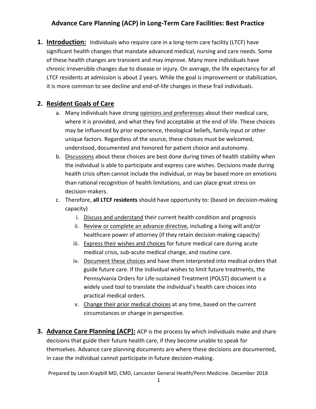**1. Introduction:** Individuals who require care in a long-term care facility (LTCF) have significant health changes that mandate advanced medical, nursing and care needs. Some of these health changes are transient and may improve. Many more individuals have chronic irreversible changes due to disease or injury. On average, the life expectancy for all LTCF residents at admission is about 2 years. While the goal is improvement or stabilization, it is more common to see decline and end-of-life changes in these frail individuals.

#### **2. Resident Goals of Care**

- a. Many individuals have strong opinions and preferences about their medical care, where it is provided, and what they find acceptable at the end of life. These choices may be influenced by prior experience, theological beliefs, family input or other unique factors. Regardless of the source, these choices must be welcomed, understood, documented and honored for patient choice and autonomy.
- b. Discussions about these choices are best done during times of health stability when the individual is able to participate and express care wishes. Decisions made during health crisis often cannot include the individual, or may be based more on emotions than rational recognition of health limitations, and can place great stress on decision-makers.
- c. Therefore, **all LTCF residents** should have opportunity to: (based on decision-making capacity)
	- i. Discuss and understand their current health condition and prognosis
	- ii. Review or complete an advance directive, including a living will and/or healthcare power of attorney (if they retain decision-making capacity)
	- iii. Express their wishes and choices for future medical care during acute medical crisis, sub-acute medical change, and routine care.
	- iv. Document these choices and have them interpreted into medical orders that guide future care. If the individual wishes to limit future treatments, the Pennsylvania Orders for Life-sustained Treatment (POLST) document is a widely used tool to translate the individual's health care choices into practical medical orders.
	- v. Change their prior medical choices at any time, based on the current circumstances or change in perspective.
- **3. Advance Care Planning (ACP):** ACP is the process by which individuals make and share decisions that guide their future health care, if they become unable to speak for themselves. Advance care planning documents are where these decisions are documented, in case the individual cannot participate in future decision-making.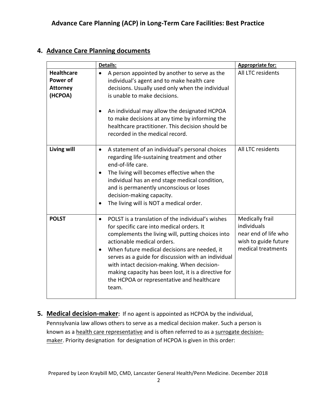#### **4. Advance Care Planning documents**

|                                                                    | Details:                                                                                                                                                                                                                                                                                                                                                                                                                                                                         | Appropriate for:                                                                                     |
|--------------------------------------------------------------------|----------------------------------------------------------------------------------------------------------------------------------------------------------------------------------------------------------------------------------------------------------------------------------------------------------------------------------------------------------------------------------------------------------------------------------------------------------------------------------|------------------------------------------------------------------------------------------------------|
| <b>Healthcare</b><br><b>Power of</b><br><b>Attorney</b><br>(HCPOA) | A person appointed by another to serve as the<br>$\bullet$<br>individual's agent and to make health care<br>decisions. Usually used only when the individual<br>is unable to make decisions.                                                                                                                                                                                                                                                                                     | All LTC residents                                                                                    |
|                                                                    | An individual may allow the designated HCPOA<br>to make decisions at any time by informing the<br>healthcare practitioner. This decision should be<br>recorded in the medical record.                                                                                                                                                                                                                                                                                            |                                                                                                      |
| <b>Living will</b>                                                 | A statement of an individual's personal choices<br>$\bullet$<br>regarding life-sustaining treatment and other<br>end-of-life care.<br>The living will becomes effective when the<br>٠<br>individual has an end stage medical condition,<br>and is permanently unconscious or loses<br>decision-making capacity.<br>The living will is NOT a medical order.<br>$\bullet$                                                                                                          | All LTC residents                                                                                    |
| <b>POLST</b>                                                       | POLST is a translation of the individual's wishes<br>$\bullet$<br>for specific care into medical orders. It<br>complements the living will, putting choices into<br>actionable medical orders.<br>When future medical decisions are needed, it<br>$\bullet$<br>serves as a guide for discussion with an individual<br>with intact decision-making. When decision-<br>making capacity has been lost, it is a directive for<br>the HCPOA or representative and healthcare<br>team. | Medically frail<br>individuals<br>near end of life who<br>wish to guide future<br>medical treatments |

**5. Medical decision-maker:** If no agent is appointed as HCPOA by the individual, Pennsylvania law allows others to serve as a medical decision maker. Such a person is known as a health care representative and is often referred to as a surrogate decisionmaker. Priority designation for designation of HCPOA is given in this order: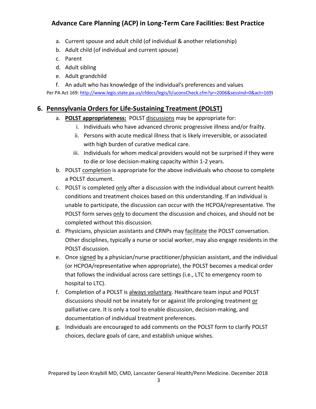- a. Current spouse and adult child (of individual & another relationship)
- b. Adult child (of individual and current spouse)
- c. Parent
- d. Adult sibling
- e. Adult grandchild
- f. An adult who has knowledge of the individual's preferences and values

Per PA Act 169: http://www.legis.state.pa.us/cfdocs/legis/li/uconsCheck.cfm?yr=2006&sessInd=0&act=169)

#### **6. Pennsylvania Orders for Life-Sustaining Treatment (POLST)**

- a. **POLST appropriateness:** POLST discussions may be appropriate for:
	- i. Individuals who have advanced chronic progressive illness and/or frailty.
	- ii. Persons with acute medical illness that is likely irreversible, or associated with high burden of curative medical care.
	- iii. Individuals for whom medical providers would not be surprised if they were to die or lose decision-making capacity within 1-2 years.
- b. POLST completion is appropriate for the above individuals who choose to complete a POLST document.
- c. POLST is completed only after a discussion with the individual about current health conditions and treatment choices based on this understanding. If an individual is unable to participate, the discussion can occur with the HCPOA/representative. The POLST form serves only to document the discussion and choices, and should not be completed without this discussion.
- d. Physicians, physician assistants and CRNPs may facilitate the POLST conversation. Other disciplines, typically a nurse or social worker, may also engage residents in the POLST discussion.
- e. Once signed by a physician/nurse practitioner/physician assistant, and the individual (or HCPOA/representative when appropriate), the POLST becomes a medical order that follows the individual across care settings (i.e., LTC to emergency room to hospital to LTC).
- f. Completion of a POLST is always voluntary. Healthcare team input and POLST discussions should not be innately for or against life prolonging treatment or palliative care. It is only a tool to enable discussion, decision-making, and documentation of individual treatment preferences.
- g. Individuals are encouraged to add comments on the POLST form to clarify POLST choices, declare goals of care, and establish unique wishes.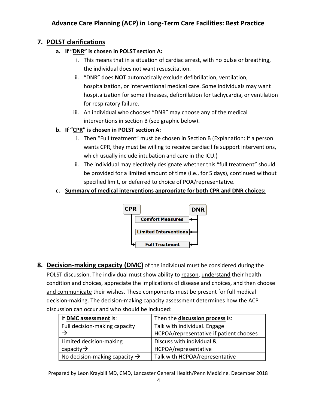#### **7. POLST clarifications**

- **a. If "DNR" is chosen in POLST section A:**
	- i. This means that in a situation of cardiac arrest, with no pulse or breathing, the individual does not want resuscitation.
	- ii. "DNR" does **NOT** automatically exclude defibrillation, ventilation, hospitalization, or interventional medical care. Some individuals may want hospitalization for some illnesses, defibrillation for tachycardia, or ventilation for respiratory failure.
	- iii. An individual who chooses "DNR" may choose any of the medical interventions in section B (see graphic below).
- **b. If "CPR" is chosen in POLST section A:**
	- i. Then "Full treatment" must be chosen in Section B (Explanation: if a person wants CPR, they must be willing to receive cardiac life support interventions, which usually include intubation and care in the ICU.)
	- ii. The individual may electively designate whether this "full treatment" should be provided for a limited amount of time (i.e., for 5 days), continued without specified limit, or deferred to choice of POA/representative.
- **c. Summary of medical interventions appropriate for both CPR and DNR choices:**



**8. Decision-making capacity (DMC)** of the individual must be considered during the POLST discussion. The individual must show ability to reason, understand their health condition and choices, appreciate the implications of disease and choices, and then choose and communicate their wishes. These components must be present for full medical decision-making. The decision-making capacity assessment determines how the ACP discussion can occur and who should be included:

| If DMC assessment is:                     | Then the discussion process is:         |
|-------------------------------------------|-----------------------------------------|
| Full decision-making capacity             | Talk with individual. Engage            |
|                                           | HCPOA/representative if patient chooses |
| Limited decision-making                   | Discuss with individual &               |
| capacity $\rightarrow$                    | HCPOA/representative                    |
| No decision-making capacity $\rightarrow$ | Talk with HCPOA/representative          |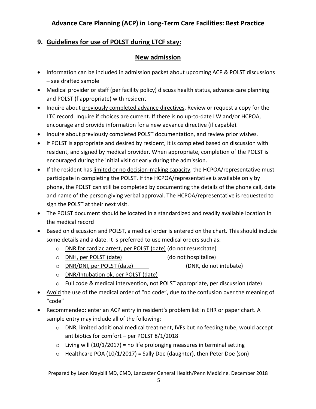#### **9. Guidelines for use of POLST during LTCF stay:**

#### **New admission**

- Information can be included in admission packet about upcoming ACP & POLST discussions – see drafted sample
- Medical provider or staff (per facility policy) discuss health status, advance care planning and POLST (f appropriate) with resident
- Inquire about previously completed advance directives. Review or request a copy for the LTC record. Inquire if choices are current. If there is no up-to-date LW and/or HCPOA, encourage and provide information for a new advance directive (if capable).
- Inquire about previously completed POLST documentation, and review prior wishes.
- If POLST is appropriate and desired by resident, it is completed based on discussion with resident, and signed by medical provider. When appropriate, completion of the POLST is encouraged during the initial visit or early during the admission.
- If the resident has limited or no decision-making capacity, the HCPOA/representative must participate in completing the POLST. If the HCPOA/representative is available only by phone, the POLST can still be completed by documenting the details of the phone call, date and name of the person giving verbal approval. The HCPOA/representative is requested to sign the POLST at their next visit.
- The POLST document should be located in a standardized and readily available location in the medical record
- Based on discussion and POLST, a medical order is entered on the chart. This should include some details and a date. It is preferred to use medical orders such as:
	- o DNR for cardiac arrest, per POLST (date) (do not resuscitate)
	- o DNH, per POLST (date) (do not hospitalize)
	- o DNR/DNI, per POLST (date) (DNR, do not intubate)
	- o DNR/Intubation ok, per POLST (date)
	- o Full code & medical intervention, not POLST appropriate, per discussion (date)
- Avoid the use of the medical order of "no code", due to the confusion over the meaning of "code"
- Recommended: enter an ACP entry in resident's problem list in EHR or paper chart. A sample entry may include all of the following:
	- $\circ$  DNR, limited additional medical treatment, IVFs but no feeding tube, would accept antibiotics for comfort – per POLST 8/1/2018
	- $\circ$  Living will (10/1/2017) = no life prolonging measures in terminal setting
	- $\circ$  Healthcare POA (10/1/2017) = Sally Doe (daughter), then Peter Doe (son)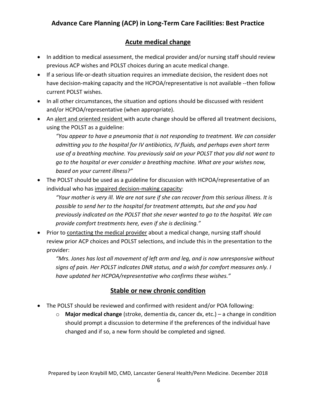#### **Acute medical change**

- In addition to medical assessment, the medical provider and/or nursing staff should review previous ACP wishes and POLST choices during an acute medical change.
- If a serious life-or-death situation requires an immediate decision, the resident does not have decision-making capacity and the HCPOA/representative is not available --then follow current POLST wishes.
- In all other circumstances, the situation and options should be discussed with resident and/or HCPOA/representative (when appropriate).
- An alert and oriented resident with acute change should be offered all treatment decisions, using the POLST as a guideline:

*"You appear to have a pneumonia that is not responding to treatment. We can consider admitting you to the hospital for IV antibiotics, IV fluids, and perhaps even short term use of a breathing machine. You previously said on your POLST that you did not want to go to the hospital or ever consider a breathing machine. What are your wishes now, based on your current illness?"*

• The POLST should be used as a guideline for discussion with HCPOA/representative of an individual who has impaired decision-making capacity:

*"Your mother is very ill. We are not sure if she can recover from this serious illness. It is possible to send her to the hospital for treatment attempts, but she and you had previously indicated on the POLST that she never wanted to go to the hospital. We can provide comfort treatments here, even if she is declining."*

• Prior to contacting the medical provider about a medical change, nursing staff should review prior ACP choices and POLST selections, and include this in the presentation to the provider:

*"Mrs. Jones has lost all movement of left arm and leg, and is now unresponsive without signs of pain. Her POLST indicates DNR status, and a wish for comfort measures only. I have updated her HCPOA/representative who confirms these wishes."*

#### **Stable or new chronic condition**

- The POLST should be reviewed and confirmed with resident and/or POA following:
	- o **Major medical change** (stroke, dementia dx, cancer dx, etc.) a change in condition should prompt a discussion to determine if the preferences of the individual have changed and if so, a new form should be completed and signed.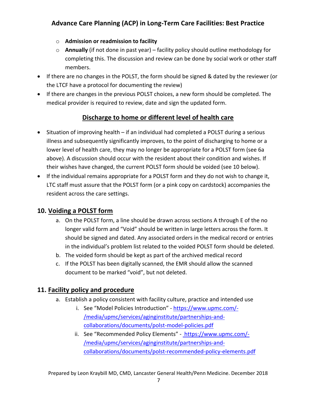- o **Admission or readmission to facility**
- o **Annually** (if not done in past year) facility policy should outline methodology for completing this. The discussion and review can be done by social work or other staff members.
- If there are no changes in the POLST, the form should be signed & dated by the reviewer (or the LTCF have a protocol for documenting the review)
- If there are changes in the previous POLST choices, a new form should be completed. The medical provider is required to review, date and sign the updated form.

## **Discharge to home or different level of health care**

- Situation of improving health if an individual had completed a POLST during a serious illness and subsequently significantly improves, to the point of discharging to home or a lower level of health care, they may no longer be appropriate for a POLST form (see 6a above). A discussion should occur with the resident about their condition and wishes. If their wishes have changed, the current POLST form should be voided (see 10 below).
- If the individual remains appropriate for a POLST form and they do not wish to change it, LTC staff must assure that the POLST form (or a pink copy on cardstock) accompanies the resident across the care settings.

#### **10. Voiding a POLST form**

- a. On the POLST form, a line should be drawn across sections A through E of the no longer valid form and "Void" should be written in large letters across the form. It should be signed and dated. Any associated orders in the medical record or entries in the individual's problem list related to the voided POLST form should be deleted.
- b. The voided form should be kept as part of the archived medical record
- c. If the POLST has been digitally scanned, the EMR should allow the scanned document to be marked "void", but not deleted.

#### **11. Facility policy and procedure**

- a. Establish a policy consistent with facility culture, practice and intended use
	- i. See "Model Policies Introduction" https://www.upmc.com/- /media/upmc/services/aginginstitute/partnerships-andcollaborations/documents/polst-model-policies.pdf
	- ii. See "Recommended Policy Elements" https://www.upmc.com/-/media/upmc/services/aginginstitute/partnerships-andcollaborations/documents/polst-recommended-policy-elements.pdf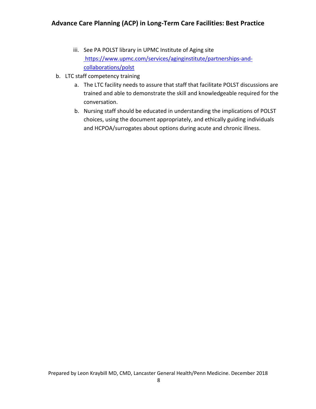- iii. See PA POLST library in UPMC Institute of Aging site https://www.upmc.com/services/aginginstitute/partnerships-andcollaborations/polst
- b. LTC staff competency training
	- a. The LTC facility needs to assure that staff that facilitate POLST discussions are trained and able to demonstrate the skill and knowledgeable required for the conversation.
	- b. Nursing staff should be educated in understanding the implications of POLST choices, using the document appropriately, and ethically guiding individuals and HCPOA/surrogates about options during acute and chronic illness.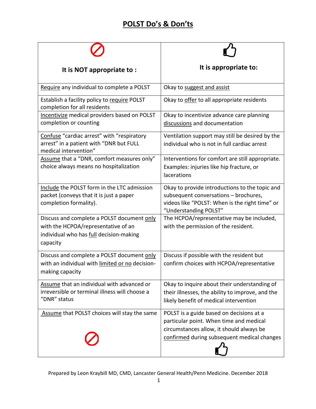## **POLST Do's & Don'ts**

| It is NOT appropriate to:                                                                                                                | It is appropriate to:                                                                                                                                                          |
|------------------------------------------------------------------------------------------------------------------------------------------|--------------------------------------------------------------------------------------------------------------------------------------------------------------------------------|
| Require any individual to complete a POLST                                                                                               | Okay to suggest and assist                                                                                                                                                     |
| Establish a facility policy to require POLST<br>completion for all residents                                                             | Okay to offer to all appropriate residents                                                                                                                                     |
| Incentivize medical providers based on POLST<br>completion or counting                                                                   | Okay to incentivize advance care planning<br>discussions and documentation                                                                                                     |
| Confuse "cardiac arrest" with "respiratory<br>arrest" in a patient with "DNR but FULL<br>medical intervention"                           | Ventilation support may still be desired by the<br>individual who is not in full cardiac arrest                                                                                |
| Assume that a "DNR, comfort measures only"<br>choice always means no hospitalization                                                     | Interventions for comfort are still appropriate.<br>Examples: injuries like hip fracture, or<br>lacerations                                                                    |
| Include the POLST form in the LTC admission<br>packet (conveys that it is just a paper<br>completion formality).                         | Okay to provide introductions to the topic and<br>subsequent conversations - brochures,<br>videos like "POLST: When is the right time" or<br>"Understanding POLST"             |
| Discuss and complete a POLST document only<br>with the HCPOA/representative of an<br>individual who has full decision-making<br>capacity | The HCPOA/representative may be included,<br>with the permission of the resident.                                                                                              |
| Discuss and complete a POLST document only<br>with an individual with limited or no decision-<br>making capacity                         | Discuss if possible with the resident but<br>confirm choices with HCPOA/representative                                                                                         |
| Assume that an individual with advanced or<br>irreversible or terminal illness will choose a<br>"DNR" status                             | Okay to inquire about their understanding of<br>their illnesses, the ability to improve, and the<br>likely benefit of medical intervention                                     |
| Assume that POLST choices will stay the same                                                                                             | POLST is a guide based on decisions at a<br>particular point. When time and medical<br>circumstances allow, it should always be<br>confirmed during subsequent medical changes |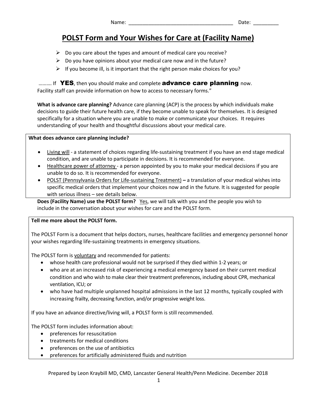## **POLST Form and Your Wishes for Care at (Facility Name)**

- $\triangleright$  Do you care about the types and amount of medical care you receive?
- $\triangleright$  Do you have opinions about your medical care now and in the future?
- $\triangleright$  If you become ill, is it important that the right person make choices for you?

.......... If YES, then you should make and complete **advance care planning** now. Facility staff can provide information on how to access to necessary forms."

**What is advance care planning?** Advance care planning (ACP) is the process by which individuals make decisions to guide their future health care, if they become unable to speak for themselves. It is designed specifically for a situation where you are unable to make or communicate your choices. It requires understanding of your health and thoughtful discussions about your medical care.

#### **What does advance care planning include?**

- Living will a statement of choices regarding life-sustaining treatment if you have an end stage medical condition, and are unable to participate in decisions. It is recommended for everyone.
- Healthcare power of attorney a person appointed by you to make your medical decisions if you are unable to do so. It is recommended for everyone.
- POLST (Pennsylvania Orders for Life-sustaining Treatment) **–** a translation of your medical wishes into specific medical orders that implement your choices now and in the future. It is suggested for people with serious illness – see details below.

**Does (Facility Name) use the POLST form?** Yes, we will talk with you and the people you wish to include in the conversation about your wishes for care and the POLST form.

#### **Tell me more about the POLST form.**

The POLST Form is a document that helps doctors, nurses, healthcare facilities and emergency personnel honor your wishes regarding life-sustaining treatments in emergency situations.

The POLST form is voluntary and recommended for patients:

- whose health care professional would not be surprised if they died within 1-2 years; or
- who are at an increased risk of experiencing a medical emergency based on their current medical condition and who wish to make clear their treatment preferences, including about CPR, mechanical ventilation, ICU; or
- who have had multiple unplanned hospital admissions in the last 12 months, typically coupled with increasing frailty, decreasing function, and/or progressive weight loss.

If you have an advance directive/living will, a POLST form is still recommended.

The POLST form includes information about:

- preferences for resuscitation
- treatments for medical conditions
- preferences on the use of antibiotics
- preferences for artificially administered fluids and nutrition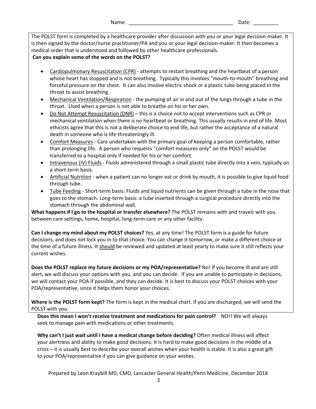The POLST form is completed by a healthcare provider after discussion with you or your legal decision-maker. It is then signed by the doctor/nurse practitioner/PA and you or your legal decision-maker. It then becomes a medical order that is understood and followed by other healthcare professionals.

#### **Can you explain some of the words on the POLST?**

- Cardiopulmonary Resuscitation (CPR) attempts to restart breathing and the heartbeat of a person whose heart has stopped and is not breathing. Typically this involves "mouth-to-mouth" breathing and forceful pressure on the chest. It can also involve electric shock or a plastic tube being placed in the throat to assist breathing.
- Mechanical Ventilation/Respiration the pumping of air in and out of the lungs through a tube in the throat. Used when a person is not able to breathe on his or her own.
- Do Not Attempt Resuscitation (DNR) this is a choice not to accept interventions such as CPR or mechanical ventilation when there is no heartbeat or breathing. This usually results in end of life. Most ethicists agree that this is not a deliberate choice to end life, but rather the acceptance of a natural death in someone who is life-threateningly ill.
- Comfort Measures Care undertaken with the primary goal of keeping a person comfortable, rather than prolonging life. A person who requests "comfort measures only" on the POLST would be transferred to a hospital only if needed for his or her comfort.
- Intravenous (IV) Fluids Fluids administered through a small plastic tube directly into a vein, typically on a short-term basis.
- Artificial Nutrition when a patient can no longer eat or drink by mouth, it is possible to give liquid food through tube.
- Tube Feeding Short-term basis: Fluids and liquid nutrients can be given through a tube in the nose that goes to the stomach. Long-term basis: a tube inserted through a surgical procedure directly into the stomach through the abdominal wall.

**What happens if I go to the hospital or transfer elsewhere?** The POLST remains with and travels with you between care settings, home, hospital, long-term care or any other facility.

**Can I change my mind about my POLST choices?** Yes, at any time! The POLST form is a guide for future decisions, and does not lock you in to that choice. You can change it tomorrow, or make a different choice at the time of a future illness. It should be reviewed and updated at least yearly to make sure it still reflects your current wishes.

**Does the POLST replace my future decisions or my POA/representative?** No! If you become ill and are still alert, we will discuss your options with you, and you can decide. If you are unable to participate in decisions, we will contact your POA if possible, and they can decide. It is best to discuss your POLST choices with your POA/representative, since it helps them honor your choices.

**Where is the POLST form kept?** The form is kept in the medical chart. If you are discharged, we will send the POLST with you.

**Does this mean I won't receive treatment and medications for pain control?** NO!! We will always seek to manage pain with medications or other treatments.

**Why can't I just wait until I have a medical change before deciding?** Often medical illness will affect your alertness and ability to make good decisions. It is hard to make good decisions in the middle of a crisis – it is usually best to describe your overall wishes when your health is stable. It is also a great gift to your POA/representative if you can give guidance on your wishes.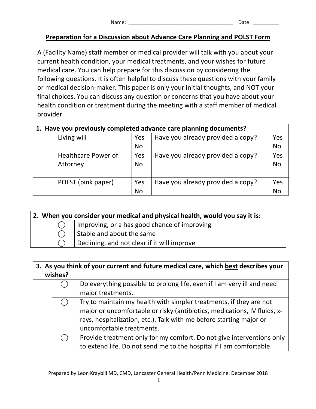#### **Preparation for a Discussion about Advance Care Planning and POLST Form**

A (Facility Name) staff member or medical provider will talk with you about your current health condition, your medical treatments, and your wishes for future medical care. You can help prepare for this discussion by considering the following questions. It is often helpful to discuss these questions with your family or medical decision-maker. This paper is only your initial thoughts, and NOT your final choices. You can discuss any question or concerns that you have about your health condition or treatment during the meeting with a staff member of medical provider.

#### **1. Have you previously completed advance care planning documents?**

| Living will                            | Yes              | Have you already provided a copy? | Yes       |
|----------------------------------------|------------------|-----------------------------------|-----------|
|                                        | <b>No</b>        |                                   | No        |
| <b>Healthcare Power of</b><br>Attorney | Yes<br><b>No</b> | Have you already provided a copy? | Yes<br>No |
|                                        |                  |                                   |           |
| POLST (pink paper)                     | Yes              | Have you already provided a copy? | Yes       |
|                                        | <b>No</b>        |                                   | No        |

| 2. When you consider your medical and physical health, would you say it is: |  |                                              |  |
|-----------------------------------------------------------------------------|--|----------------------------------------------|--|
|                                                                             |  | Improving, or a has good chance of improving |  |
| Stable and about the same                                                   |  |                                              |  |
|                                                                             |  | Declining, and not clear if it will improve  |  |

| 3. As you think of your current and future medical care, which best describes your |                                                                          |  |
|------------------------------------------------------------------------------------|--------------------------------------------------------------------------|--|
| wishes?                                                                            |                                                                          |  |
|                                                                                    | Do everything possible to prolong life, even if I am very ill and need   |  |
|                                                                                    | major treatments.                                                        |  |
|                                                                                    | Try to maintain my health with simpler treatments, if they are not       |  |
|                                                                                    | major or uncomfortable or risky (antibiotics, medications, IV fluids, x- |  |
|                                                                                    | rays, hospitalization, etc.). Talk with me before starting major or      |  |
|                                                                                    | uncomfortable treatments.                                                |  |
|                                                                                    | Provide treatment only for my comfort. Do not give interventions only    |  |
|                                                                                    | to extend life. Do not send me to the hospital if I am comfortable.      |  |